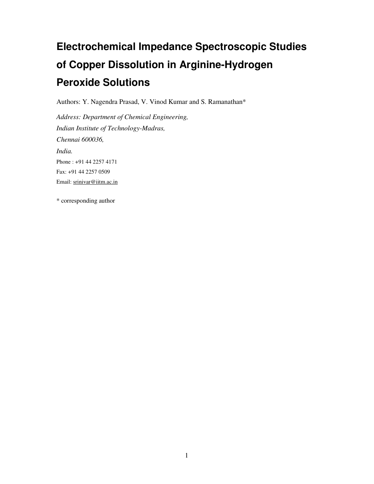# **Electrochemical Impedance Spectroscopic Studies of Copper Dissolution in Arginine-Hydrogen Peroxide Solutions**

Authors: Y. Nagendra Prasad, V. Vinod Kumar and S. Ramanathan\*

*Address: Department of Chemical Engineering, Indian Institute of Technology-Madras, Chennai 600036, India.*  Phone : +91 44 2257 4171 Fax: +91 44 2257 0509 Email: srinivar@iitm.ac.in

\* corresponding author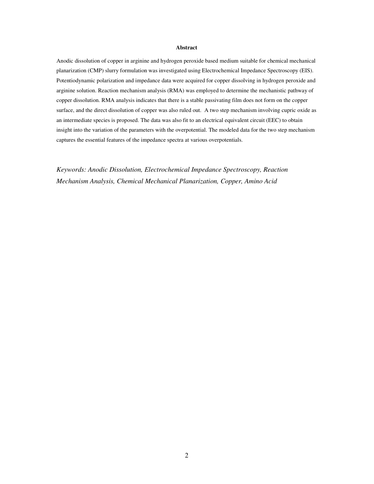#### **Abstract**

Anodic dissolution of copper in arginine and hydrogen peroxide based medium suitable for chemical mechanical planarization (CMP) slurry formulation was investigated using Electrochemical Impedance Spectroscopy (EIS). Potentiodynamic polarization and impedance data were acquired for copper dissolving in hydrogen peroxide and arginine solution. Reaction mechanism analysis (RMA) was employed to determine the mechanistic pathway of copper dissolution. RMA analysis indicates that there is a stable passivating film does not form on the copper surface, and the direct dissolution of copper was also ruled out. A two step mechanism involving cupric oxide as an intermediate species is proposed. The data was also fit to an electrical equivalent circuit (EEC) to obtain insight into the variation of the parameters with the overpotential. The modeled data for the two step mechanism captures the essential features of the impedance spectra at various overpotentials.

*Keywords: Anodic Dissolution, Electrochemical Impedance Spectroscopy, Reaction Mechanism Analysis, Chemical Mechanical Planarization, Copper, Amino Acid*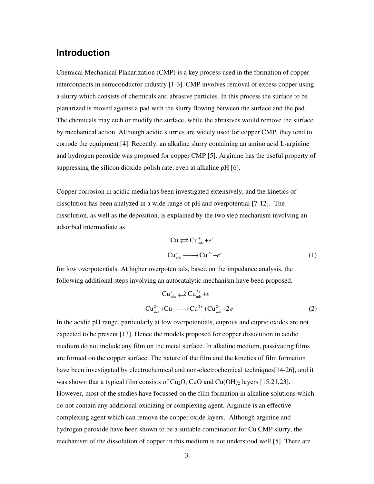### **Introduction**

Chemical Mechanical Planarization (CMP) is a key process used in the formation of copper interconnects in semiconductor industry [1-3]. CMP involves removal of excess copper using a slurry which consists of chemicals and abrasive particles. In this process the surface to be planarized is moved against a pad with the slurry flowing between the surface and the pad. The chemicals may etch or modify the surface, while the abrasives would remove the surface by mechanical action. Although acidic slurries are widely used for copper CMP, they tend to corrode the equipment [4]. Recently, an alkaline slurry containing an amino acid L-arginine and hydrogen peroxide was proposed for copper CMP [5]. Arginine has the useful property of suppressing the silicon dioxide polish rate, even at alkaline pH [6].

Copper corrosion in acidic media has been investigated extensively, and the kinetics of dissolution has been analyzed in a wide range of pH and overpotential [7-12]. The dissolution, as well as the deposition, is explained by the two step mechanism involving an adsorbed intermediate as

$$
\text{Cu} \rightleftarrows \text{Cu}^+_{\text{ads}} + e^-
$$
\n
$$
\text{Cu}^+_{\text{ads}} \longrightarrow \text{Cu}^{2+} + e^-
$$
\n
$$
\tag{1}
$$

for low overpotentials. At higher overpotentials, based on the impedance analysis, the following additional steps involving an autocatalytic mechanism have been proposed.

$$
\text{Cu}^+_{\text{ads}} \rightleftarrows \text{Cu}^{2+}_{\text{ads}} + e^-
$$
\n
$$
\text{Cu}^{2+}_{\text{ads}} + \text{Cu} \longrightarrow \text{Cu}^{2+} + \text{Cu}^{2+}_{\text{ads}} + 2e^-
$$
\n
$$
\tag{2}
$$

In the acidic pH range, particularly at low overpotentials, cuprous and cupric oxides are not expected to be present [13]. Hence the models proposed for copper dissolution in acidic medium do not include any film on the metal surface. In alkaline medium, passivating films are formed on the copper surface. The nature of the film and the kinetics of film formation have been investigated by electrochemical and non-electrochemical techniques[14-26], and it was shown that a typical film consists of  $Cu<sub>2</sub>O$ , CuO and Cu(OH)<sub>2</sub> layers [15,21,23]. However, most of the studies have focussed on the film formation in alkaline solutions which do not contain any additional oxidizing or complexing agent. Arginine is an effective complexing agent which can remove the copper oxide layers. Although arginine and hydrogen peroxide have been shown to be a suitable combination for Cu CMP slurry, the mechanism of the dissolution of copper in this medium is not understood well [5]. There are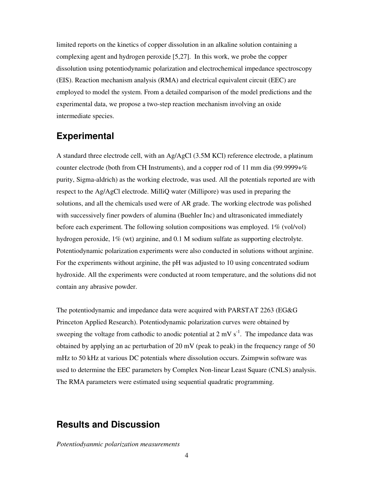limited reports on the kinetics of copper dissolution in an alkaline solution containing a complexing agent and hydrogen peroxide [5,27]. In this work, we probe the copper dissolution using potentiodynamic polarization and electrochemical impedance spectroscopy (EIS). Reaction mechanism analysis (RMA) and electrical equivalent circuit (EEC) are employed to model the system. From a detailed comparison of the model predictions and the experimental data, we propose a two-step reaction mechanism involving an oxide intermediate species.

### **Experimental**

A standard three electrode cell, with an Ag/AgCl (3.5M KCl) reference electrode, a platinum counter electrode (both from CH Instruments), and a copper rod of 11 mm dia (99.9999+% purity, Sigma-aldrich) as the working electrode, was used. All the potentials reported are with respect to the Ag/AgCl electrode. MilliQ water (Millipore) was used in preparing the solutions, and all the chemicals used were of AR grade. The working electrode was polished with successively finer powders of alumina (Buehler Inc) and ultrasonicated immediately before each experiment. The following solution compositions was employed. 1% (vol/vol) hydrogen peroxide, 1% (wt) arginine, and 0.1 M sodium sulfate as supporting electrolyte. Potentiodynamic polarization experiments were also conducted in solutions without arginine. For the experiments without arginine, the pH was adjusted to 10 using concentrated sodium hydroxide. All the experiments were conducted at room temperature, and the solutions did not contain any abrasive powder.

The potentiodynamic and impedance data were acquired with PARSTAT 2263 (EG&G Princeton Applied Research). Potentiodynamic polarization curves were obtained by sweeping the voltage from cathodic to anodic potential at  $2 \text{ mV s}^{-1}$ . The impedance data was obtained by applying an ac perturbation of 20 mV (peak to peak) in the frequency range of 50 mHz to 50 kHz at various DC potentials where dissolution occurs. Zsimpwin software was used to determine the EEC parameters by Complex Non-linear Least Square (CNLS) analysis. The RMA parameters were estimated using sequential quadratic programming.

## **Results and Discussion**

*Potentiodyanmic polarization measurements*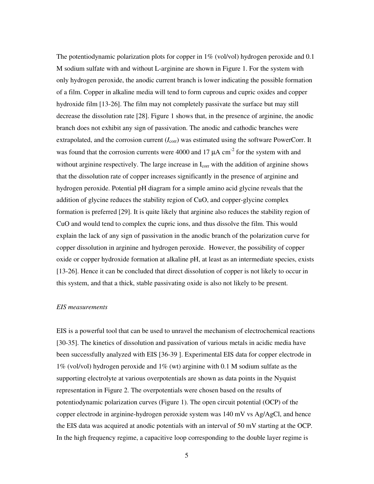The potentiodynamic polarization plots for copper in 1% (vol/vol) hydrogen peroxide and 0.1 M sodium sulfate with and without L-arginine are shown in Figure 1. For the system with only hydrogen peroxide, the anodic current branch is lower indicating the possible formation of a film. Copper in alkaline media will tend to form cuprous and cupric oxides and copper hydroxide film [13-26]. The film may not completely passivate the surface but may still decrease the dissolution rate [28]. Figure 1 shows that, in the presence of arginine, the anodic branch does not exhibit any sign of passivation. The anodic and cathodic branches were extrapolated, and the corrosion current ( $I_{\text{corr}}$ ) was estimated using the software PowerCorr. It was found that the corrosion currents were 4000 and 17  $\mu$ A cm<sup>-2</sup> for the system with and without arginine respectively. The large increase in  $I_{\text{corr}}$  with the addition of arginine shows that the dissolution rate of copper increases significantly in the presence of arginine and hydrogen peroxide. Potential pH diagram for a simple amino acid glycine reveals that the addition of glycine reduces the stability region of CuO, and copper-glycine complex formation is preferred [29]. It is quite likely that arginine also reduces the stability region of CuO and would tend to complex the cupric ions, and thus dissolve the film. This would explain the lack of any sign of passivation in the anodic branch of the polarization curve for copper dissolution in arginine and hydrogen peroxide. However, the possibility of copper oxide or copper hydroxide formation at alkaline pH, at least as an intermediate species, exists [13-26]. Hence it can be concluded that direct dissolution of copper is not likely to occur in this system, and that a thick, stable passivating oxide is also not likely to be present.

#### *EIS measurements*

EIS is a powerful tool that can be used to unravel the mechanism of electrochemical reactions [30-35]. The kinetics of dissolution and passivation of various metals in acidic media have been successfully analyzed with EIS [36-39 ]. Experimental EIS data for copper electrode in  $1\%$  (vol/vol) hydrogen peroxide and  $1\%$  (wt) arginine with 0.1 M sodium sulfate as the supporting electrolyte at various overpotentials are shown as data points in the Nyquist representation in Figure 2. The overpotentials were chosen based on the results of potentiodynamic polarization curves (Figure 1). The open circuit potential (OCP) of the copper electrode in arginine-hydrogen peroxide system was  $140 \text{ mV}$  vs Ag/AgCl, and hence the EIS data was acquired at anodic potentials with an interval of 50 mV starting at the OCP. In the high frequency regime, a capacitive loop corresponding to the double layer regime is

5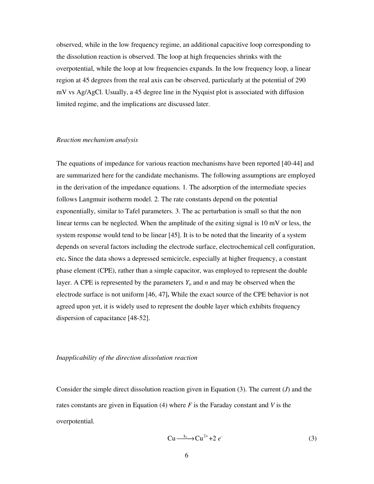observed, while in the low frequency regime, an additional capacitive loop corresponding to the dissolution reaction is observed. The loop at high frequencies shrinks with the overpotential, while the loop at low frequencies expands. In the low frequency loop, a linear region at 45 degrees from the real axis can be observed, particularly at the potential of 290 mV vs Ag/AgCl. Usually, a 45 degree line in the Nyquist plot is associated with diffusion limited regime, and the implications are discussed later.

#### *Reaction mechanism analysis*

The equations of impedance for various reaction mechanisms have been reported [40-44] and are summarized here for the candidate mechanisms. The following assumptions are employed in the derivation of the impedance equations. 1. The adsorption of the intermediate species follows Langmuir isotherm model. 2. The rate constants depend on the potential exponentially, similar to Tafel parameters. 3. The ac perturbation is small so that the non linear terms can be neglected. When the amplitude of the exiting signal is 10 mV or less, the system response would tend to be linear [45]. It is to be noted that the linearity of a system depends on several factors including the electrode surface, electrochemical cell configuration, etc**.** Since the data shows a depressed semicircle, especially at higher frequency, a constant phase element (CPE), rather than a simple capacitor, was employed to represent the double layer. A CPE is represented by the parameters  $Y_0$  and *n* and may be observed when the electrode surface is not uniform [46, 47]**.** While the exact source of the CPE behavior is not agreed upon yet, it is widely used to represent the double layer which exhibits frequency dispersion of capacitance [48-52].

#### *Inapplicability of the direction dissolution reaction*

Consider the simple direct dissolution reaction given in Equation (3). The current (*J*) and the rates constants are given in Equation (4) where *F* is the Faraday constant and *V* is the overpotential.

$$
Cu \xrightarrow{k_1} Cu^{2+} + 2 e^{i}
$$
 (3)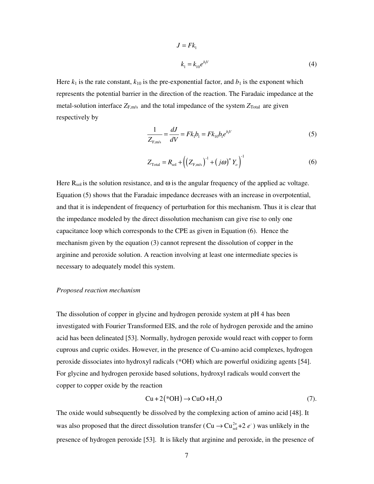$$
J = Fk_1
$$
  

$$
k_1 = k_{10}e^{b_1V}
$$
 (4)

Here  $k_1$  is the rate constant,  $k_{10}$  is the pre-exponential factor, and  $b_1$  is the exponent which represents the potential barrier in the direction of the reaction. The Faradaic impedance at the metal-solution interface  $Z_{F,m/s}$  and the total impedance of the system  $Z_{\text{Total}}$  are given respectively by

$$
\frac{1}{Z_{F,m/s}} = \frac{dJ}{dV} = Fk_1b_1 = Fk_{10}b_1e^{b_1V}
$$
\n(5)

$$
Z_{\text{Total}} = R_{\text{sol}} + \left( \left( Z_{\text{F},\text{m/s}} \right)^{-1} + \left( j\omega \right)^n Y_o \right)^{-1} \tag{6}
$$

Here  $R_{sol}$  is the solution resistance, and  $\omega$  is the angular frequency of the applied ac voltage. Equation (5) shows that the Faradaic impedance decreases with an increase in overpotential, and that it is independent of frequency of perturbation for this mechanism. Thus it is clear that the impedance modeled by the direct dissolution mechanism can give rise to only one capacitance loop which corresponds to the CPE as given in Equation (6). Hence the mechanism given by the equation (3) cannot represent the dissolution of copper in the arginine and peroxide solution. A reaction involving at least one intermediate species is necessary to adequately model this system.

#### *Proposed reaction mechanism*

The dissolution of copper in glycine and hydrogen peroxide system at pH 4 has been investigated with Fourier Transformed EIS, and the role of hydrogen peroxide and the amino acid has been delineated [53]. Normally, hydrogen peroxide would react with copper to form cuprous and cupric oxides. However, in the presence of Cu-amino acid complexes, hydrogen peroxide dissociates into hydroxyl radicals (\*OH) which are powerful oxidizing agents [54]. For glycine and hydrogen peroxide based solutions, hydroxyl radicals would convert the copper to copper oxide by the reaction

$$
Cu + 2(*OH) \rightarrow CuO + H2O
$$
 (7).

The oxide would subsequently be dissolved by the complexing action of amino acid [48]. It was also proposed that the direct dissolution transfer ( $Cu \rightarrow Cu_{sol}^{2+} + 2 e^{-}$ ) was unlikely in the presence of hydrogen peroxide [53]. It is likely that arginine and peroxide, in the presence of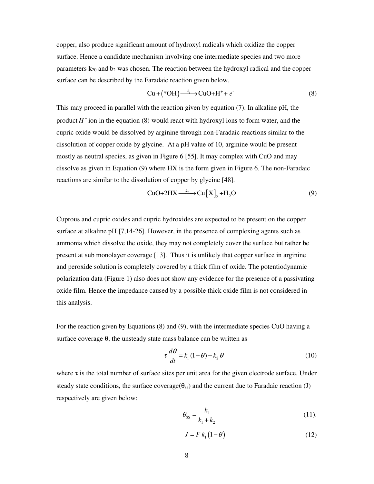copper, also produce significant amount of hydroxyl radicals which oxidize the copper surface. Hence a candidate mechanism involving one intermediate species and two more parameters  $k_{20}$  and  $b_2$  was chosen. The reaction between the hydroxyl radical and the copper surface can be described by the Faradaic reaction given below.

$$
Cu + (*OH) \xrightarrow{k_1} CuO + H^+ + e^-
$$
 (8)

This may proceed in parallel with the reaction given by equation (7). In alkaline pH, the product  $H^+$  ion in the equation (8) would react with hydroxyl ions to form water, and the cupric oxide would be dissolved by arginine through non-Faradaic reactions similar to the dissolution of copper oxide by glycine. At a pH value of 10, arginine would be present mostly as neutral species, as given in Figure 6 [55]. It may complex with CuO and may dissolve as given in Equation (9) where HX is the form given in Figure 6. The non-Faradaic reactions are similar to the dissolution of copper by glycine [48].

$$
CuO+2HX \xrightarrow{k_2} Cu[X]_2 + H_2O
$$
 (9)

Cuprous and cupric oxides and cupric hydroxides are expected to be present on the copper surface at alkaline pH [7,14-26]. However, in the presence of complexing agents such as ammonia which dissolve the oxide, they may not completely cover the surface but rather be present at sub monolayer coverage [13]. Thus it is unlikely that copper surface in arginine and peroxide solution is completely covered by a thick film of oxide. The potentiodynamic polarization data (Figure 1) also does not show any evidence for the presence of a passivating oxide film. Hence the impedance caused by a possible thick oxide film is not considered in this analysis.

For the reaction given by Equations (8) and (9), with the intermediate species CuO having a surface coverage  $\theta$ , the unsteady state mass balance can be written as

$$
\tau \frac{d\theta}{dt} = k_1 (1 - \theta) - k_2 \theta \tag{10}
$$

where  $\tau$  is the total number of surface sites per unit area for the given electrode surface. Under steady state conditions, the surface coverage( $\theta_{ss}$ ) and the current due to Faradaic reaction (J) respectively are given below:

$$
\theta_{\rm SS} = \frac{k_1}{k_1 + k_2} \tag{11}
$$

$$
J = F k_1 (1 - \theta) \tag{12}
$$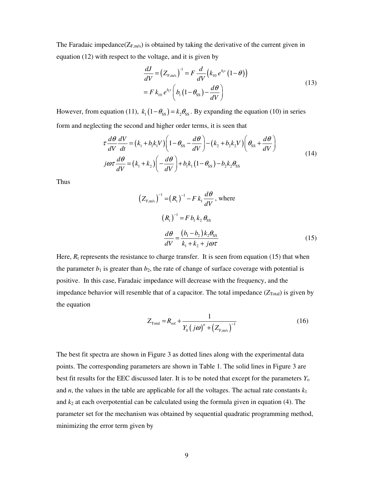The Faradaic impedance( $Z_{F,m/s}$ ) is obtained by taking the derivative of the current given in equation (12) with respect to the voltage, and it is given by

$$
\frac{dJ}{dV} = \left(Z_{F,m/s}\right)^{-1} = F \frac{d}{dV} \left(k_{10} e^{b_V} \left(1 - \theta\right)\right)
$$
\n
$$
= F k_{10} e^{b_V} \left(b_1 \left(1 - \theta_{ss}\right) - \frac{d\theta}{dV}\right)
$$
\n(13)

However, from equation (11),  $k_1(1 - \theta_{ss}) = k_2\theta_{ss}$ . By expanding the equation (10) in series form and neglecting the second and higher order terms, it is seen that

$$
\tau \frac{d\theta}{dV} \frac{dV}{dt} = (k_1 + b_1 k_1 V) \left( 1 - \theta_{ss} - \frac{d\theta}{dV} \right) - (k_2 + b_2 k_2 V) \left( \theta_{ss} + \frac{d\theta}{dV} \right)
$$
  
\n
$$
j\omega \tau \frac{d\theta}{dV} = (k_1 + k_2) \left( -\frac{d\theta}{dV} \right) + b_1 k_1 (1 - \theta_{ss}) - b_2 k_2 \theta_{ss}
$$
\n(14)

Thus

$$
(Z_{F,m/s})^{-1} = (R_t)^{-1} - F k_1 \frac{d\theta}{dV}, \text{ where}
$$
  

$$
(R_t)^{-1} = F b_1 k_2 \theta_{SS}
$$
  

$$
\frac{d\theta}{dV} = \frac{(b_1 - b_2) k_2 \theta_{SS}}{k_1 + k_2 + j\omega\tau}
$$
 (15)

Here,  $R_t$  represents the resistance to charge transfer. It is seen from equation (15) that when the parameter  $b_1$  is greater than  $b_2$ , the rate of change of surface coverage with potential is positive. In this case, Faradaic impedance will decrease with the frequency, and the impedance behavior will resemble that of a capacitor. The total impedance  $(Z_{\text{Total}})$  is given by the equation

$$
Z_{\text{Total}} = R_{\text{sol}} + \frac{1}{Y_0 \left( j\omega \right)^n + \left( Z_{\text{F,m/s}} \right)^{-1}} \tag{16}
$$

The best fit spectra are shown in Figure 3 as dotted lines along with the experimental data points. The corresponding parameters are shown in Table 1. The solid lines in Figure 3 are best fit results for the EEC discussed later. It is to be noted that except for the parameters *Y*<sup>o</sup> and *n*, the values in the table are applicable for all the voltages. The actual rate constants  $k_1$ and  $k_2$  at each overpotential can be calculated using the formula given in equation (4). The parameter set for the mechanism was obtained by sequential quadratic programming method, minimizing the error term given by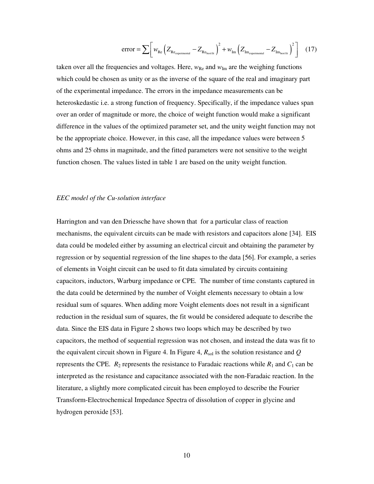$$
error = \sum \left[ w_{Re} \left( Z_{Re_{experimental}} - Z_{Re_{bestfit}} \right)^2 + w_{Im} \left( Z_{Im_{experimental}} - Z_{Im_{bestfit}} \right)^2 \right] \quad (17)
$$

taken over all the frequencies and voltages. Here,  $w_{\text{Re}}$  and  $w_{\text{Im}}$  are the weighing functions which could be chosen as unity or as the inverse of the square of the real and imaginary part of the experimental impedance. The errors in the impedance measurements can be heteroskedastic i.e. a strong function of frequency. Specifically, if the impedance values span over an order of magnitude or more, the choice of weight function would make a significant difference in the values of the optimized parameter set, and the unity weight function may not be the appropriate choice. However, in this case, all the impedance values were between 5 ohms and 25 ohms in magnitude, and the fitted parameters were not sensitive to the weight function chosen. The values listed in table 1 are based on the unity weight function.

#### *EEC model of the Cu-solution interface*

Harrington and van den Driessche have shown that for a particular class of reaction mechanisms, the equivalent circuits can be made with resistors and capacitors alone [34]. EIS data could be modeled either by assuming an electrical circuit and obtaining the parameter by regression or by sequential regression of the line shapes to the data [56]. For example, a series of elements in Voight circuit can be used to fit data simulated by circuits containing capacitors, inductors, Warburg impedance or CPE. The number of time constants captured in the data could be determined by the number of Voight elements necessary to obtain a low residual sum of squares. When adding more Voight elements does not result in a significant reduction in the residual sum of squares, the fit would be considered adequate to describe the data. Since the EIS data in Figure 2 shows two loops which may be described by two capacitors, the method of sequential regression was not chosen, and instead the data was fit to the equivalent circuit shown in Figure 4. In Figure 4,  $R_{sol}$  is the solution resistance and  $Q$ represents the CPE.  $R_2$  represents the resistance to Faradaic reactions while  $R_1$  and  $C_1$  can be interpreted as the resistance and capacitance associated with the non-Faradaic reaction. In the literature, a slightly more complicated circuit has been employed to describe the Fourier Transform-Electrochemical Impedance Spectra of dissolution of copper in glycine and hydrogen peroxide [53].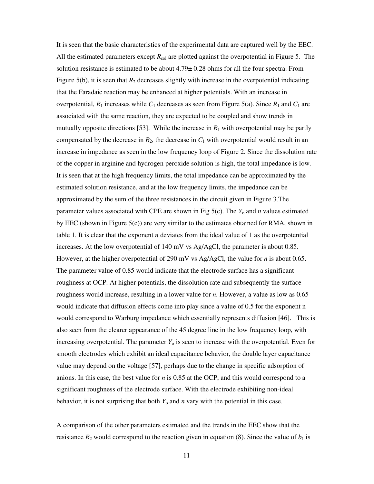It is seen that the basic characteristics of the experimental data are captured well by the EEC. All the estimated parameters except  $R_{sol}$  are plotted against the overpotential in Figure 5. The solution resistance is estimated to be about 4.79± 0.28 ohms for all the four spectra. From Figure 5(b), it is seen that  $R_2$  decreases slightly with increase in the overpotential indicating that the Faradaic reaction may be enhanced at higher potentials. With an increase in overpotential,  $R_1$  increases while  $C_1$  decreases as seen from Figure 5(a). Since  $R_1$  and  $C_1$  are associated with the same reaction, they are expected to be coupled and show trends in mutually opposite directions [53]. While the increase in  $R_1$  with overpotential may be partly compensated by the decrease in  $R_2$ , the decrease in  $C_1$  with overpotential would result in an increase in impedance as seen in the low frequency loop of Figure 2. Since the dissolution rate of the copper in arginine and hydrogen peroxide solution is high, the total impedance is low. It is seen that at the high frequency limits, the total impedance can be approximated by the estimated solution resistance, and at the low frequency limits, the impedance can be approximated by the sum of the three resistances in the circuit given in Figure 3.The parameter values associated with CPE are shown in Fig  $5(c)$ . The  $Y_0$  and  $n$  values estimated by EEC (shown in Figure  $5(c)$ ) are very similar to the estimates obtained for RMA, shown in table 1. It is clear that the exponent *n* deviates from the ideal value of 1 as the overpotential increases. At the low overpotential of 140 mV vs Ag/AgCl, the parameter is about 0.85. However, at the higher overpotential of 290 mV vs Ag/AgCl, the value for *n* is about 0.65. The parameter value of 0.85 would indicate that the electrode surface has a significant roughness at OCP. At higher potentials, the dissolution rate and subsequently the surface roughness would increase, resulting in a lower value for *n*. However, a value as low as 0.65 would indicate that diffusion effects come into play since a value of 0.5 for the exponent n would correspond to Warburg impedance which essentially represents diffusion [46]. This is also seen from the clearer appearance of the 45 degree line in the low frequency loop, with increasing overpotential. The parameter  $Y_0$  is seen to increase with the overpotential. Even for smooth electrodes which exhibit an ideal capacitance behavior, the double layer capacitance value may depend on the voltage [57], perhaps due to the change in specific adsorption of anions. In this case, the best value for *n* is 0.85 at the OCP, and this would correspond to a significant roughness of the electrode surface. With the electrode exhibiting non-ideal behavior, it is not surprising that both  $Y_0$  and  $n$  vary with the potential in this case.

A comparison of the other parameters estimated and the trends in the EEC show that the resistance  $R_2$  would correspond to the reaction given in equation (8). Since the value of  $b_1$  is

11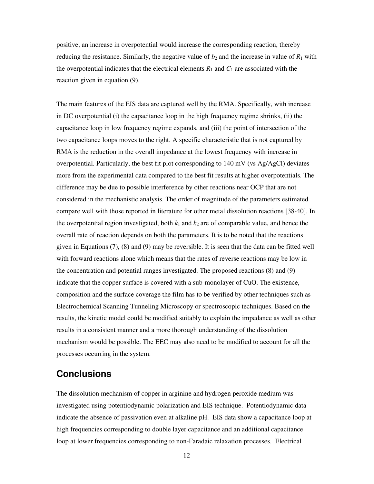positive, an increase in overpotential would increase the corresponding reaction, thereby reducing the resistance. Similarly, the negative value of  $b_2$  and the increase in value of  $R_1$  with the overpotential indicates that the electrical elements  $R_1$  and  $C_1$  are associated with the reaction given in equation (9).

The main features of the EIS data are captured well by the RMA. Specifically, with increase in DC overpotential (i) the capacitance loop in the high frequency regime shrinks, (ii) the capacitance loop in low frequency regime expands, and (iii) the point of intersection of the two capacitance loops moves to the right. A specific characteristic that is not captured by RMA is the reduction in the overall impedance at the lowest frequency with increase in overpotential. Particularly, the best fit plot corresponding to 140 mV (vs Ag/AgCl) deviates more from the experimental data compared to the best fit results at higher overpotentials. The difference may be due to possible interference by other reactions near OCP that are not considered in the mechanistic analysis. The order of magnitude of the parameters estimated compare well with those reported in literature for other metal dissolution reactions [38-40]. In the overpotential region investigated, both  $k_1$  and  $k_2$  are of comparable value, and hence the overall rate of reaction depends on both the parameters. It is to be noted that the reactions given in Equations (7), (8) and (9) may be reversible. It is seen that the data can be fitted well with forward reactions alone which means that the rates of reverse reactions may be low in the concentration and potential ranges investigated. The proposed reactions (8) and (9) indicate that the copper surface is covered with a sub-monolayer of CuO. The existence, composition and the surface coverage the film has to be verified by other techniques such as Electrochemical Scanning Tunneling Microscopy or spectroscopic techniques. Based on the results, the kinetic model could be modified suitably to explain the impedance as well as other results in a consistent manner and a more thorough understanding of the dissolution mechanism would be possible. The EEC may also need to be modified to account for all the processes occurring in the system.

### **Conclusions**

The dissolution mechanism of copper in arginine and hydrogen peroxide medium was investigated using potentiodynamic polarization and EIS technique. Potentiodynamic data indicate the absence of passivation even at alkaline pH. EIS data show a capacitance loop at high frequencies corresponding to double layer capacitance and an additional capacitance loop at lower frequencies corresponding to non-Faradaic relaxation processes. Electrical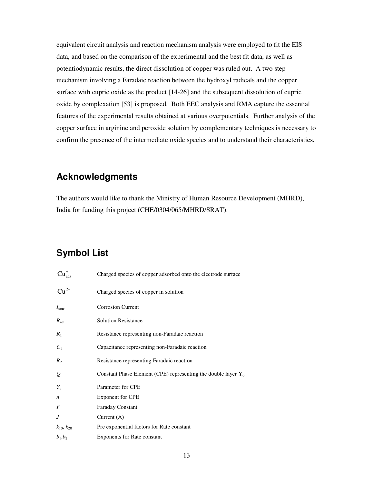equivalent circuit analysis and reaction mechanism analysis were employed to fit the EIS data, and based on the comparison of the experimental and the best fit data, as well as potentiodynamic results, the direct dissolution of copper was ruled out. A two step mechanism involving a Faradaic reaction between the hydroxyl radicals and the copper surface with cupric oxide as the product [14-26] and the subsequent dissolution of cupric oxide by complexation [53] is proposed. Both EEC analysis and RMA capture the essential features of the experimental results obtained at various overpotentials. Further analysis of the copper surface in arginine and peroxide solution by complementary techniques is necessary to confirm the presence of the intermediate oxide species and to understand their characteristics.

### **Acknowledgments**

The authors would like to thank the Ministry of Human Resource Development (MHRD), India for funding this project (CHE/0304/065/MHRD/SRAT).

# **Symbol List**

| $Cu_{ads}^+$        | Charged species of copper adsorbed onto the electrode surface    |
|---------------------|------------------------------------------------------------------|
| $Cu^{2+}$           | Charged species of copper in solution                            |
| $I_{\rm corr}$      | <b>Corrosion Current</b>                                         |
| $R_{\rm sol}$       | <b>Solution Resistance</b>                                       |
| $R_1$               | Resistance representing non-Faradaic reaction                    |
| $C_1$               | Capacitance representing non-Faradaic reaction                   |
| $R_2$               | Resistance representing Faradaic reaction                        |
| $\mathcal{Q}$       | Constant Phase Element (CPE) representing the double layer $Y_0$ |
| $Y_{\rm o}$         | Parameter for CPE                                                |
| $\boldsymbol{n}$    | <b>Exponent for CPE</b>                                          |
| F                   | <b>Faraday Constant</b>                                          |
| J                   | Current $(A)$                                                    |
| $k_{10}$ , $k_{20}$ | Pre exponential factors for Rate constant                        |
| $b_1, b_2$          | <b>Exponents for Rate constant</b>                               |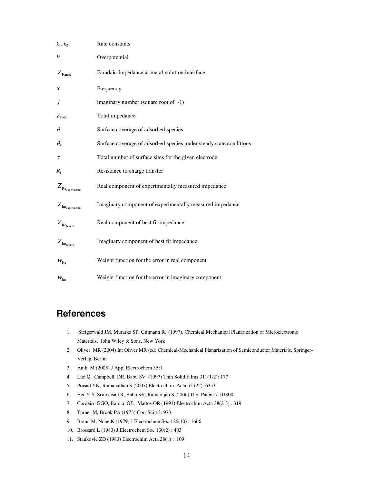| $k_1, k_2$                      | Rate constants                                                     |
|---------------------------------|--------------------------------------------------------------------|
| V                               | Overpotential                                                      |
| $Z_{F,m/s}$                     | Faradaic Impedance at metal-solution interface                     |
| ω                               | Frequency                                                          |
| Ĵ                               | imaginary number (square root of -1)                               |
| $Z_{\text{Total}}$              | Total impedance                                                    |
| $\theta$                        | Surface coverage of adsorbed species                               |
| $\theta_{ss}$                   | Surface coverage of adsorbed species under steady state conditions |
| τ                               | Total number of surface sites for the given electrode              |
| $R_{t}$                         | Resistance to charge transfer                                      |
| $Z_{\rm Re_{\rm experimental}}$ | Real component of experimentally measured impedance                |
| $Z_{\rm{Im}_{experimental}}$    | Imaginary component of experimentally measured impedance           |
| $Z_{\rm Re_{best \, fit}}$      | Real component of best fit impedance                               |
| $Z_{\rm Im_{bestfit}}$          | Imaginary component of best fit impedance                          |
| $W_{\text{Re}}$                 | Weight function for the error in real component                    |
| $\mathcal{W}_{\text{Im}}$       | Weight function for the error in imaginary component               |

# **References**

- 1. Steigerwald JM, Murarka SP, Gutmann RJ (1997). Chemical Mechanical Planarization of Microelectronic Materials, John Wiley & Sons, New York
- 2. Oliver MR (2004) In: Oliver MR (ed) Chemical-Mechanical Planarization of Semiconductor Materials, Springer-Verlag, Berlin
- 3. Anik M (2005) J Appl Electrochem 35:1
- 4. Luo Q, Campbell DR, Babu SV (1997) Thin Solid Films 311(1-2): 177
- 5. Prasad YN, Ramanathan S (2007) Electrochim Acta 52 (22): 6353
- 6. Her Y-S, Srinivasan R, Babu SV, Ramarajan S (2006) U.S. Patent 7101800
- 7. Cordeiro GGO, Barcia OE, Mattos OR (1993) Electrochim Acta 38(2-3) : 319
- 8. Turner M, Brook PA (1973) Corr Sci 13: 973
- 9. Braun M, Nobe K (1979) J Electrochem Soc 126(10) : 1666
- 10. Brossard L (1983) J Electrochem Soc 130(2) : 403
- 11. Stankovic ZD (1983) Electrochim Acta 28(1) : 109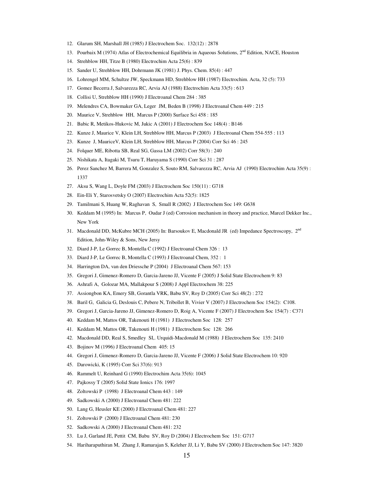- 12. Glarum SH, Marshall JH (1985) J Electrochem Soc. 132(12) : 2878
- 13. Pourbaix M (1974) Atlas of Electrochemical Equilibria in Aqueous Solutions, 2<sup>nd</sup> Edition, NACE, Houston
- 14. Strehblow HH, Titze B (1980) Electrochim Acta 25(6) : 839
- 15. Sander U, Strehblow HH, Dohrmann JK (1981) J. Phys. Chem. 85(4) : 447
- 16. Lohrengel MM, Schultze JW, Speckmann HD, Strehblow HH (1987) Electrochim. Acta, 32 (5): 733
- 17. Gomez Becerra J, Salvarezza RC, Arvia AJ (1988) Electrochim Acta 33(5) : 613
- 18. Collisi U, Strehblow HH (1990) J Electroanal Chem 284 : 385
- 19. Melendres CA, Bowmaker GA, Leger JM, Beden B (1998) J Electroanal Chem 449 : 215
- 20. Maurice V, Strehblow HH, Marcus P (2000) Surface Sci 458 : 185
- 21. Babic R, Metikos-Hukovic M, Jukic A (2001) J Electrochem Soc 148(4) : B146
- 22. Kunze J, Maurice V, Klein LH, Strehblow HH, Marcus P (2003) J Electroanal Chem 554-555 : 113
- 23. Kunze J, MauriceV, Klein LH, Strehblow HH, Marcus P (2004) Corr Sci 46 : 245
- 24. Folquer ME, Ribotta SB, Real SG, Gassa LM (2002) Corr 58(3) : 240
- 25. Nishikata A, Itagaki M, Tsuru T, Haruyama S (1990) Corr Sci 31 : 287
- 26. Perez Sanchez M, Barrera M, Gonzalez S, Souto RM, Salvarezza RC, Arvia AJ (1990) Electrochim Acta 35(9) : 1337
- 27. Aksu S, Wang L, Doyle FM (2003) J Electrochem Soc 150(11) : G718
- 28. Ein-Eli Y, Starosvetsky O (2007) Electrochim Acta 52(5): 1825
- 29. Tamilmani S, Huang W, Raghavan S, Small R (2002) J Electrochem Soc 149: G638
- 30. Keddam M (1995) In: Marcus P, Oudar J (ed) Corrosion mechanism in theory and practice, Marcel Dekker Inc., New York
- 31. Macdonald DD, McKubre MCH (2005) In: Barsoukov E, Macdonald JR (ed) Impedance Spectroscopy, 2nd Edition, John-Wiley & Sons, New Jersy
- 32. Diard J-P, Le Gorrec B, Montella C (1992) J Electroanal Chem 326 : 13
- 33. Diard J-P, Le Gorrec B, Montella C (1993) J Electroanal Chem, 352 : 1
- 34. Harrington DA, van den Driessche P (2004) J Electroanal Chem 567: 153
- 35. Gregori J, Gimenez-Romero D, Garcia-Jareno JJ, Vicente F (2005) J Solid State Electrochem 9: 83
- 36. Ashrafi A, Golozar MA, Mallakpour S (2008) J Appl Electrochem 38: 225
- 37. Assiongbon KA, Emery SB, Gorantla VRK, Babu SV, Roy D (2005) Corr Sci 48(2) : 272
- 38. Baril G, Galicia G, Deslouis C, Pebere N, Tribollet B, Vivier V (2007) J Electrochem Soc 154(2): C108.
- 39. Gregori J, Garcia-Jareno JJ, Gimenez-Romero D, Roig A, Vicente F (2007) J Electrochem Soc 154(7) : C371
- 40. Keddam M, Mattos OR, Takenouti H (1981) J Electrochem Soc 128: 257
- 41. Keddam M, Mattos OR, Takenouti H (1981) J Electrochem Soc 128: 266
- 42. Macdonald DD, Real S, Smedley SI,. Urquidi-Macdonald M (1988) J Electrochem Soc 135: 2410
- 43. Bojinov M (1996) J Electroanal Chem 405: 15
- 44. Gregori J, Gimenez-Romero D, Garcia-Jareno JJ, Vicente F (2006) J Solid State Electrochem 10: 920
- 45. Darowicki, K (1995) Corr Sci 37(6): 913
- 46. Rammelt U, Reinhard G (1990) Electrochim Acta 35(6): 1045
- 47. Pajkossy T (2005) Solid State Ionics 176: 1997
- 48. Zoltowski P (1998) J Electroanal Chem 443 : 149
- 49. Sadkowski A (2000) J Electroanal Chem 481: 222
- 50. Lang G, Heusler KE (2000) J Electroanal Chem 481: 227
- 51. Zoltowski P (2000) J Electroanal Chem 481: 230
- 52. Sadkowski A (2000) J Electroanal Chem 481: 232
- 53. Lu J, Garland JE, Pettit CM, Babu SV, Roy D (2004) J Electrochem Soc 151: G717
- 54. Hariharaputhiran M, Zhang J, Ramarajan S, Keleher JJ, Li Y, Babu SV (2000) J Electrochem Soc 147: 3820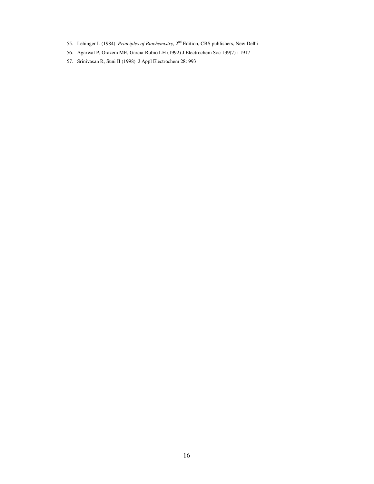- 55. Lehinger L (1984) *Principles of Biochemistry,* 2nd Edition, CBS publishers, New Delhi
- 56. Agarwal P, Orazem ME, Garcia-Rubio LH (1992) J Electrochem Soc 139(7) : 1917
- 57. Srinivasan R, Suni II (1998) J Appl Electrochem 28: 993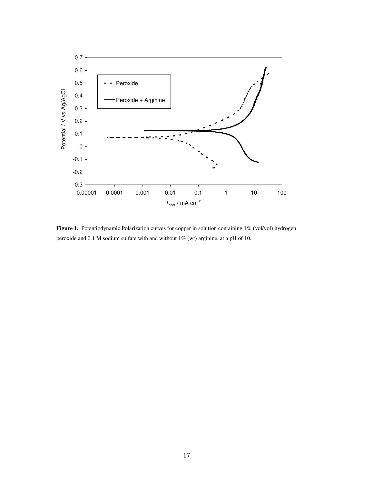

Figure 1. Potentiodynamic Polarization curves for copper in solution containing 1% (vol/vol) hydrogen peroxide and 0.1 M sodium sulfate with and without 1% (wt) arginine, at a pH of 10.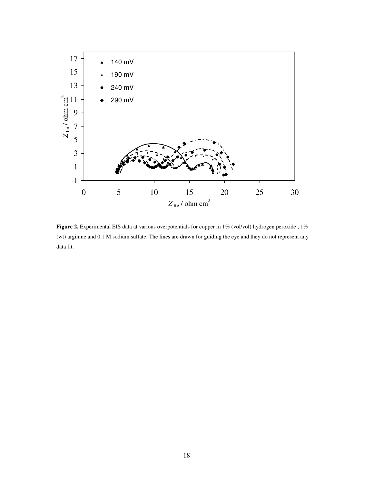

Figure 2. Experimental EIS data at various overpotentials for copper in 1% (vol/vol) hydrogen peroxide, 1% (wt) arginine and 0.1 M sodium sulfate. The lines are drawn for guiding the eye and they do not represent any data fit.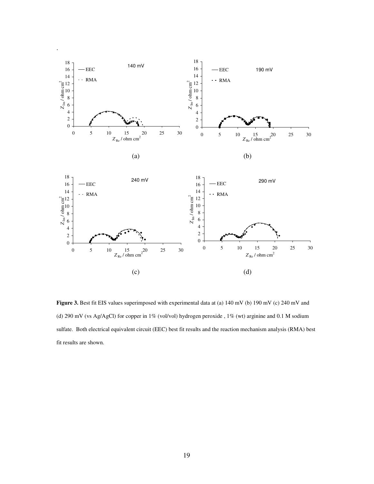

Figure 3. Best fit EIS values superimposed with experimental data at (a) 140 mV (b) 190 mV (c) 240 mV and (d) 290 mV (vs Ag/AgCl) for copper in 1% (vol/vol) hydrogen peroxide , 1% (wt) arginine and 0.1 M sodium sulfate. Both electrical equivalent circuit (EEC) best fit results and the reaction mechanism analysis (RMA) best fit results are shown.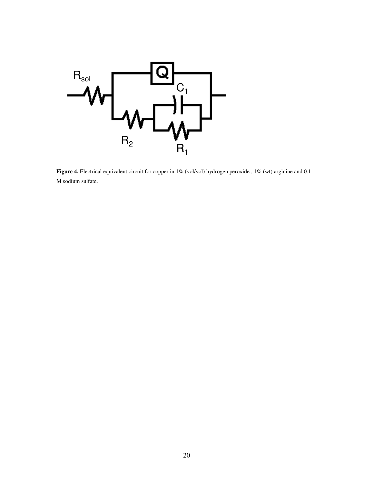

Figure 4. Electrical equivalent circuit for copper in 1% (vol/vol) hydrogen peroxide, 1% (wt) arginine and 0.1 M sodium sulfate.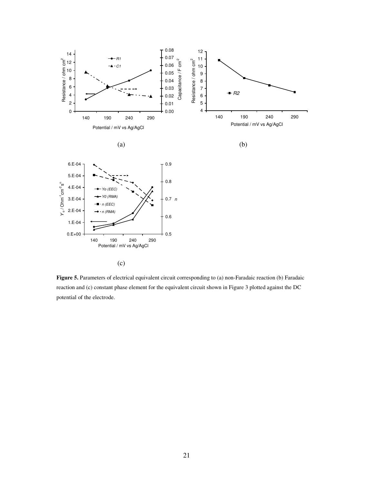

**Figure 5.** Parameters of electrical equivalent circuit corresponding to (a) non-Faradaic reaction (b) Faradaic reaction and (c) constant phase element for the equivalent circuit shown in Figure 3 plotted against the DC potential of the electrode.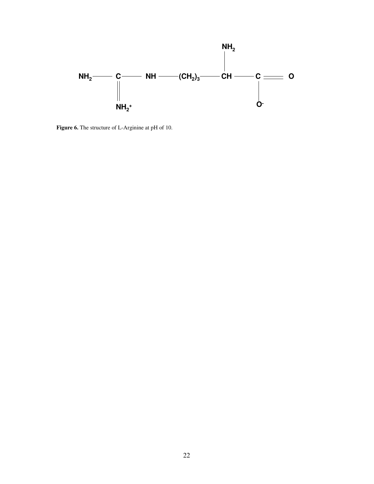

**Figure 6.** The structure of L-Arginine at pH of 10.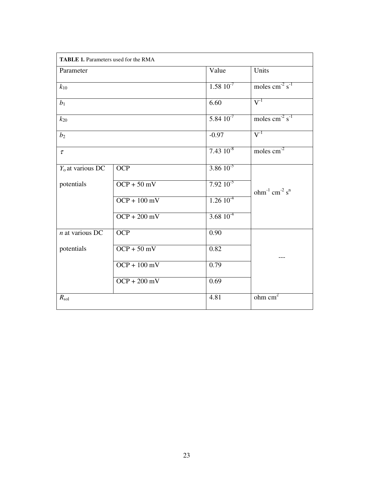| <b>TABLE 1.</b> Parameters used for the RMA |                |                 |                                       |  |  |  |
|---------------------------------------------|----------------|-----------------|---------------------------------------|--|--|--|
| Parameter                                   |                | Value           | Units                                 |  |  |  |
| $k_{10}$                                    |                | $1.58\ 10^{-7}$ | moles $\text{cm}^2 \text{ s}^1$       |  |  |  |
| b <sub>1</sub>                              |                | 6.60            | $V^{-1}$                              |  |  |  |
| $k_{20}$                                    |                | $5.84~10^{-7}$  | moles $cm^{-2} s^{-1}$                |  |  |  |
| b <sub>2</sub>                              |                | $-0.97$         | $V^{-1}$                              |  |  |  |
| $\tau$                                      |                | $7.43~10^{-8}$  | moles $cm-2$                          |  |  |  |
| $Y_0$ at various DC                         | OCP            | $3.86\,10^{-5}$ |                                       |  |  |  |
| potentials                                  | $OCP + 50$ mV  | $7.92\,10^{-5}$ | ohm $^{-1}$ cm $^{-2}$ s <sup>n</sup> |  |  |  |
|                                             | $OCP + 100$ mV | $1.2610^{4}$    |                                       |  |  |  |
|                                             | $OCP + 200$ mV | 3.68 $10^{-4}$  |                                       |  |  |  |
| $n$ at various DC                           | <b>OCP</b>     | 0.90            |                                       |  |  |  |
| potentials                                  | $OCP + 50$ mV  | 0.82            |                                       |  |  |  |
|                                             | $OCP + 100$ mV | 0.79            |                                       |  |  |  |
|                                             | $OCP + 200$ mV | 0.69            |                                       |  |  |  |
| $R_{\rm sol}$                               |                | 4.81            | $ohm$ cm <sup>2</sup>                 |  |  |  |